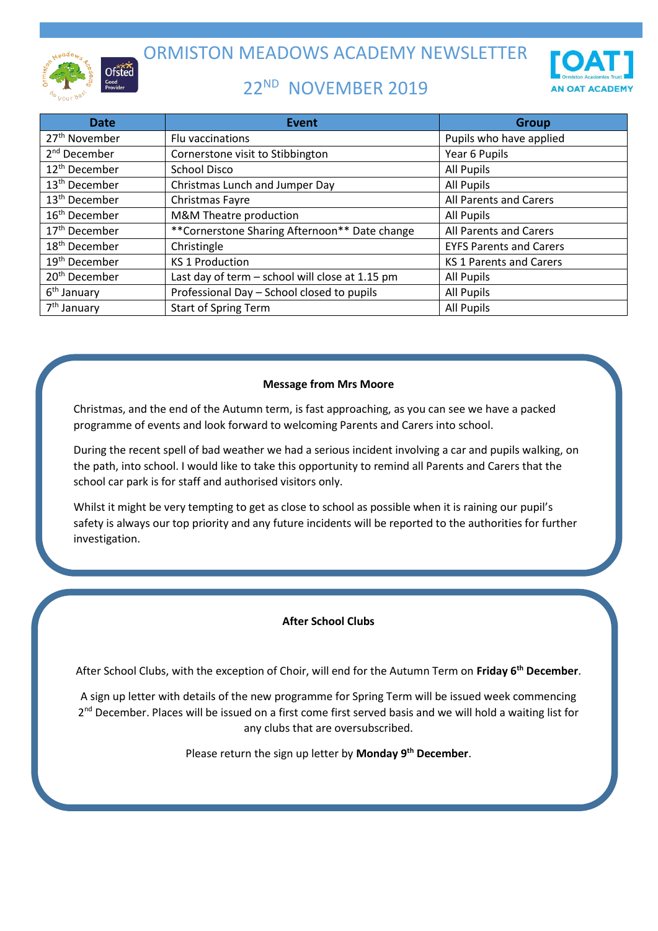

ORMISTON MEADOWS ACADEMY NEWSLETTER

## 22<sup>ND</sup> NOVEMBER 2019



| <b>Date</b>               | <b>Event</b>                                    | <b>Group</b>                   |
|---------------------------|-------------------------------------------------|--------------------------------|
| 27 <sup>th</sup> November | Flu vaccinations                                | Pupils who have applied        |
| 2 <sup>nd</sup> December  | Cornerstone visit to Stibbington                | Year 6 Pupils                  |
| 12 <sup>th</sup> December | <b>School Disco</b>                             | <b>All Pupils</b>              |
| 13 <sup>th</sup> December | Christmas Lunch and Jumper Day                  | <b>All Pupils</b>              |
| 13 <sup>th</sup> December | Christmas Fayre                                 | All Parents and Carers         |
| 16 <sup>th</sup> December | M&M Theatre production                          | <b>All Pupils</b>              |
| 17 <sup>th</sup> December | **Cornerstone Sharing Afternoon** Date change   | All Parents and Carers         |
| 18 <sup>th</sup> December | Christingle                                     | <b>EYFS Parents and Carers</b> |
| 19 <sup>th</sup> December | <b>KS 1 Production</b>                          | <b>KS 1 Parents and Carers</b> |
| 20 <sup>th</sup> December | Last day of term - school will close at 1.15 pm | All Pupils                     |
| 6 <sup>th</sup> January   | Professional Day - School closed to pupils      | <b>All Pupils</b>              |
| 7 <sup>th</sup> January   | <b>Start of Spring Term</b>                     | <b>All Pupils</b>              |

## **Message from Mrs Moore**

Christmas, and the end of the Autumn term, is fast approaching, as you can see we have a packed programme of events and look forward to welcoming Parents and Carers into school.

During the recent spell of bad weather we had a serious incident involving a car and pupils walking, on the path, into school. I would like to take this opportunity to remind all Parents and Carers that the school car park is for staff and authorised visitors only.

Whilst it might be very tempting to get as close to school as possible when it is raining our pupil's safety is always our top priority and any future incidents will be reported to the authorities for further investigation.

## **After School Clubs**

After School Clubs, with the exception of Choir, will end for the Autumn Term on **Friday 6th December**.

A sign up letter with details of the new programme for Spring Term will be issued week commencing 2<sup>nd</sup> December. Places will be issued on a first come first served basis and we will hold a waiting list for any clubs that are oversubscribed.

Please return the sign up letter by **Monday 9th December**.